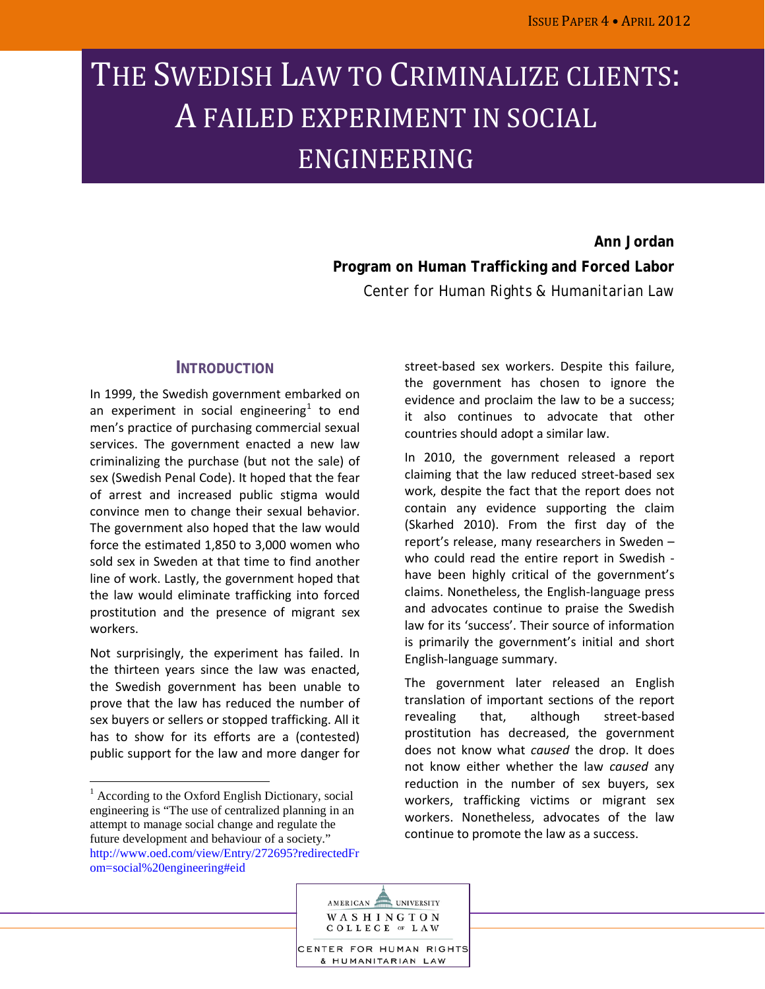# THE SWEDISH LAW TO CRIMINALIZE CLIENTS: A FAILED EXPERIMENT IN SOCIAL ENGINEERING

**Ann Jordan Program on Human Trafficking and Forced Labor** *Center for Human Rights & Humanitarian Law*

## **INTRODUCTION**

In 1999, the Swedish government embarked on an experiment in social engineering<sup>[1](#page-0-0)</sup> to end men's practice of purchasing commercial sexual services. The government enacted a new law criminalizing the purchase (but not the sale) of sex (Swedish Penal Code). It hoped that the fear of arrest and increased public stigma would convince men to change their sexual behavior. The government also hoped that the law would force the estimated 1,850 to 3,000 women who sold sex in Sweden at that time to find another line of work. Lastly, the government hoped that the law would eliminate trafficking into forced prostitution and the presence of migrant sex workers.

Not surprisingly, the experiment has failed. In the thirteen years since the law was enacted, the Swedish government has been unable to prove that the law has reduced the number of sex buyers or sellers or stopped trafficking. All it has to show for its efforts are a (contested) public support for the law and more danger for

street-based sex workers. Despite this failure, the government has chosen to ignore the evidence and proclaim the law to be a success; it also continues to advocate that other countries should adopt a similar law.

In 2010, the government released a report claiming that the law reduced street-based sex work, despite the fact that the report does not contain any evidence supporting the claim (Skarhed 2010). From the first day of the report's release, many researchers in Sweden – who could read the entire report in Swedish have been highly critical of the government's claims. Nonetheless, the English-language press and advocates continue to praise the Swedish law for its 'success'. Their source of information is primarily the government's initial and short English-language summary.

The government later released an English translation of important sections of the report revealing that, although street-based prostitution has decreased, the government does not know what *caused* the drop. It does not know either whether the law *caused* any reduction in the number of sex buyers, sex workers, trafficking victims or migrant sex workers. Nonetheless, advocates of the law continue to promote the law as a success.



<span id="page-0-0"></span> $<sup>1</sup>$  According to the Oxford English Dictionary, social</sup> engineering is "The use of centralized planning in an attempt to manage social change and regulate the future development and behaviour of a society." [http://www.oed.com/view/Entry/272695?redirectedFr](http://www.oed.com/view/Entry/272695?redirectedFrom=social%20engineering#eid) [om=social%20engineering#eid](http://www.oed.com/view/Entry/272695?redirectedFrom=social%20engineering#eid)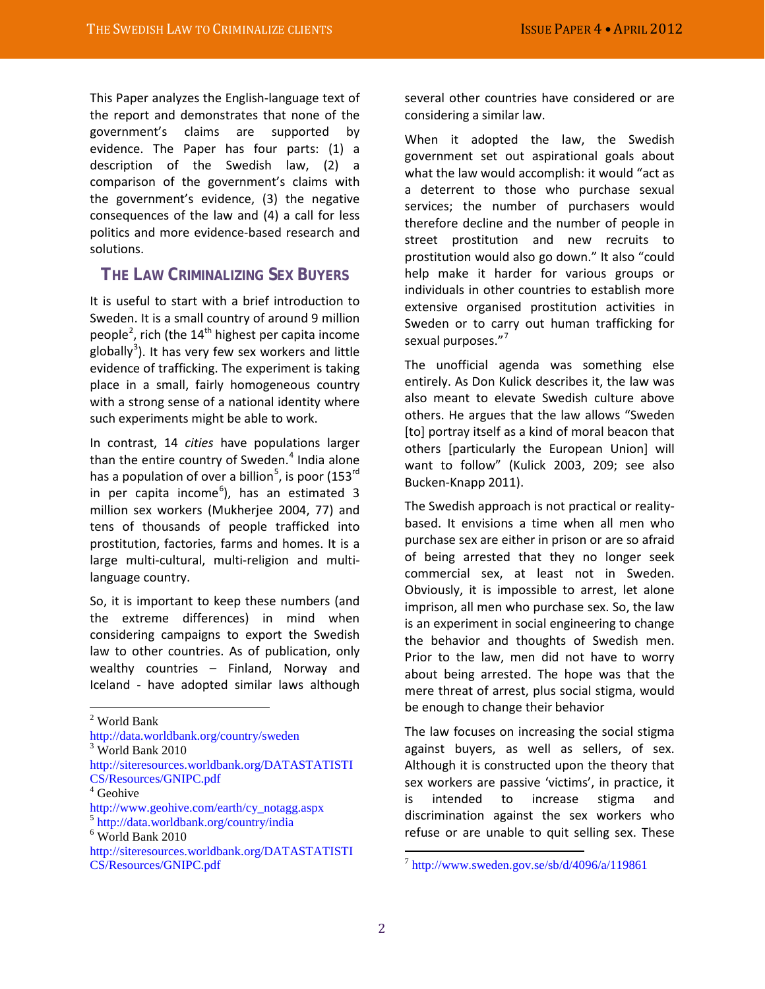This Paper analyzes the English-language text of the report and demonstrates that none of the government's claims are supported by evidence. The Paper has four parts: (1) a description of the Swedish law, (2) a comparison of the government's claims with the government's evidence, (3) the negative consequences of the law and (4) a call for less politics and more evidence-based research and solutions.

## **THE LAW CRIMINALIZING SEX BUYERS**

It is useful to start with a brief introduction to Sweden. It is a small country of around 9 million people<sup>[2](#page-1-0)</sup>, rich (the 14<sup>th</sup> highest per capita income globally<sup>[3](#page-1-1)</sup>). It has very few sex workers and little evidence of trafficking. The experiment is taking place in a small, fairly homogeneous country with a strong sense of a national identity where such experiments might be able to work.

In contrast, 14 *cities* have populations larger than the entire country of Sweden. $4$  India alone has a population of over a billion<sup>[5](#page-1-3)</sup>, is poor (153<sup>rd</sup> in per capita income<sup>[6](#page-1-4)</sup>), has an estimated 3 million sex workers (Mukherjee 2004, 77) and tens of thousands of people trafficked into prostitution, factories, farms and homes. It is a large multi-cultural, multi-religion and multilanguage country.

So, it is important to keep these numbers (and the extreme differences) in mind when considering campaigns to export the Swedish law to other countries. As of publication, only wealthy countries – Finland, Norway and Iceland - have adopted similar laws although

<http://data.worldbank.org/country/sweden>

[http://siteresources.worldbank.org/DATASTATISTI](http://siteresources.worldbank.org/DATASTATISTICS/Resources/GNIPC.pdf) [CS/Resources/GNIPC.pdf](http://siteresources.worldbank.org/DATASTATISTICS/Resources/GNIPC.pdf)

[http://www.geohive.com/earth/cy\\_notagg.aspx](http://www.geohive.com/earth/cy_notagg.aspx) <sup>5</sup> <http://data.worldbank.org/country/india>

<span id="page-1-4"></span><sup>6</sup> World Bank 2010

several other countries have considered or are considering a similar law.

When it adopted the law, the Swedish government set out aspirational goals about what the law would accomplish: it would "act as a deterrent to those who purchase sexual services; the number of purchasers would therefore decline and the number of people in street prostitution and new recruits to prostitution would also go down." It also "could help make it harder for various groups or individuals in other countries to establish more extensive organised prostitution activities in Sweden or to carry out human trafficking for sexual purposes."<sup>[7](#page-1-5)</sup>

The unofficial agenda was something else entirely. As Don Kulick describes it, the law was also meant to elevate Swedish culture above others. He argues that the law allows "Sweden [to] portray itself as a kind of moral beacon that others [particularly the European Union] will want to follow" (Kulick 2003, 209; see also Bucken-Knapp 2011).

The Swedish approach is not practical or realitybased. It envisions a time when all men who purchase sex are either in prison or are so afraid of being arrested that they no longer seek commercial sex, at least not in Sweden. Obviously, it is impossible to arrest, let alone imprison, all men who purchase sex. So, the law is an experiment in social engineering to change the behavior and thoughts of Swedish men. Prior to the law, men did not have to worry about being arrested. The hope was that the mere threat of arrest, plus social stigma, would be enough to change their behavior

The law focuses on increasing the social stigma against buyers, as well as sellers, of sex. Although it is constructed upon the theory that sex workers are passive 'victims', in practice, it is intended to increase stigma and discrimination against the sex workers who refuse or are unable to quit selling sex. These

<span id="page-1-0"></span><sup>2</sup> World Bank

<span id="page-1-1"></span> $3$  World Bank 2010

<span id="page-1-2"></span><sup>4</sup> Geohive

<span id="page-1-3"></span>

<span id="page-1-5"></span>[http://siteresources.worldbank.org/DATASTATISTI](http://siteresources.worldbank.org/DATASTATISTICS/Resources/GNIPC.pdf) [CS/Resources/GNIPC.pdf](http://siteresources.worldbank.org/DATASTATISTICS/Resources/GNIPC.pdf)

 $^7$  <http://www.sweden.gov.se/sb/d/4096/a/119861>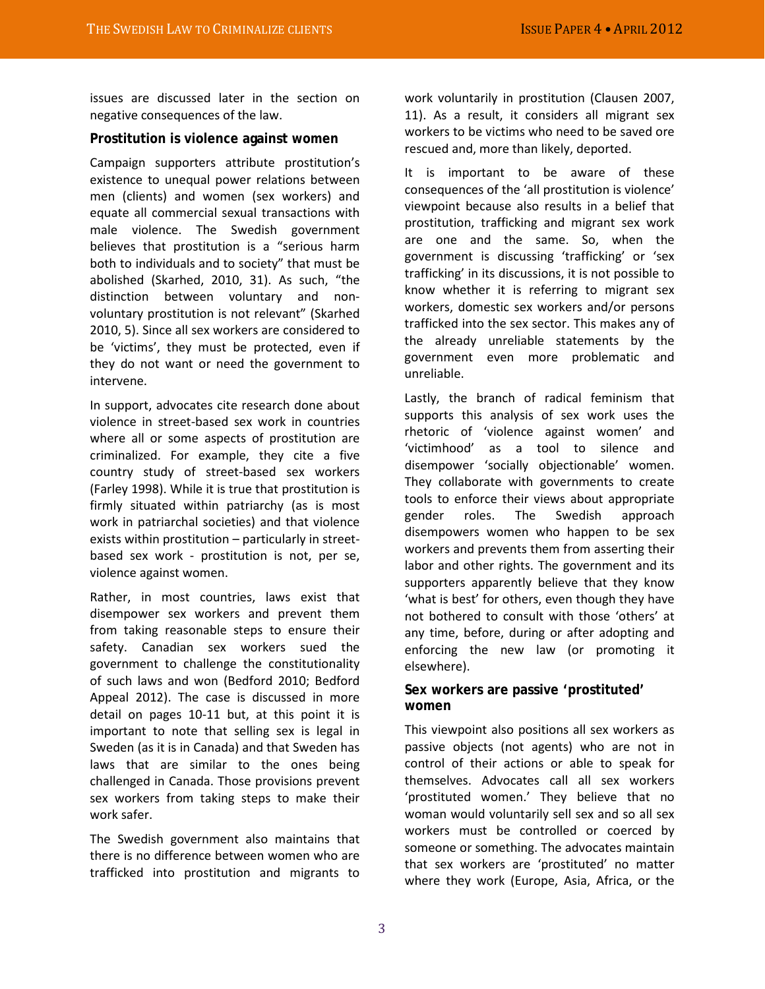issues are discussed later in the section on negative consequences of the law.

#### **Prostitution is violence against women**

Campaign supporters attribute prostitution's existence to unequal power relations between men (clients) and women (sex workers) and equate all commercial sexual transactions with male violence. The Swedish government believes that prostitution is a "serious harm both to individuals and to society" that must be abolished (Skarhed, 2010, 31). As such, "the distinction between voluntary and nonvoluntary prostitution is not relevant" (Skarhed 2010, 5). Since all sex workers are considered to be 'victims', they must be protected, even if they do not want or need the government to intervene.

In support, advocates cite research done about violence in street-based sex work in countries where all or some aspects of prostitution are criminalized. For example, they cite a five country study of street-based sex workers (Farley 1998). While it is true that prostitution is firmly situated within patriarchy (as is most work in patriarchal societies) and that violence exists within prostitution – particularly in streetbased sex work - prostitution is not, per se, violence against women.

Rather, in most countries, laws exist that disempower sex workers and prevent them from taking reasonable steps to ensure their safety. Canadian sex workers sued the government to challenge the constitutionality of such laws and won (Bedford 2010; Bedford Appeal 2012). The case is discussed in more detail on pages 10-11 but, at this point it is important to note that selling sex is legal in Sweden (as it is in Canada) and that Sweden has laws that are similar to the ones being challenged in Canada. Those provisions prevent sex workers from taking steps to make their work safer.

The Swedish government also maintains that there is no difference between women who are trafficked into prostitution and migrants to

work voluntarily in prostitution (Clausen 2007, 11). As a result, it considers all migrant sex workers to be victims who need to be saved ore rescued and, more than likely, deported.

It is important to be aware of these consequences of the 'all prostitution is violence' viewpoint because also results in a belief that prostitution, trafficking and migrant sex work are one and the same. So, when the government is discussing 'trafficking' or 'sex trafficking' in its discussions, it is not possible to know whether it is referring to migrant sex workers, domestic sex workers and/or persons trafficked into the sex sector. This makes any of the already unreliable statements by the government even more problematic and unreliable.

Lastly, the branch of radical feminism that supports this analysis of sex work uses the rhetoric of 'violence against women' and 'victimhood' as a tool to silence and disempower 'socially objectionable' women. They collaborate with governments to create tools to enforce their views about appropriate gender roles. The Swedish approach disempowers women who happen to be sex workers and prevents them from asserting their labor and other rights. The government and its supporters apparently believe that they know 'what is best' for others, even though they have not bothered to consult with those 'others' at any time, before, during or after adopting and enforcing the new law (or promoting it elsewhere).

## **Sex workers are passive 'prostituted' women**

This viewpoint also positions all sex workers as passive objects (not agents) who are not in control of their actions or able to speak for themselves. Advocates call all sex workers 'prostituted women.' They believe that no woman would voluntarily sell sex and so all sex workers must be controlled or coerced by someone or something. The advocates maintain that sex workers are 'prostituted' no matter where they work (Europe, Asia, Africa, or the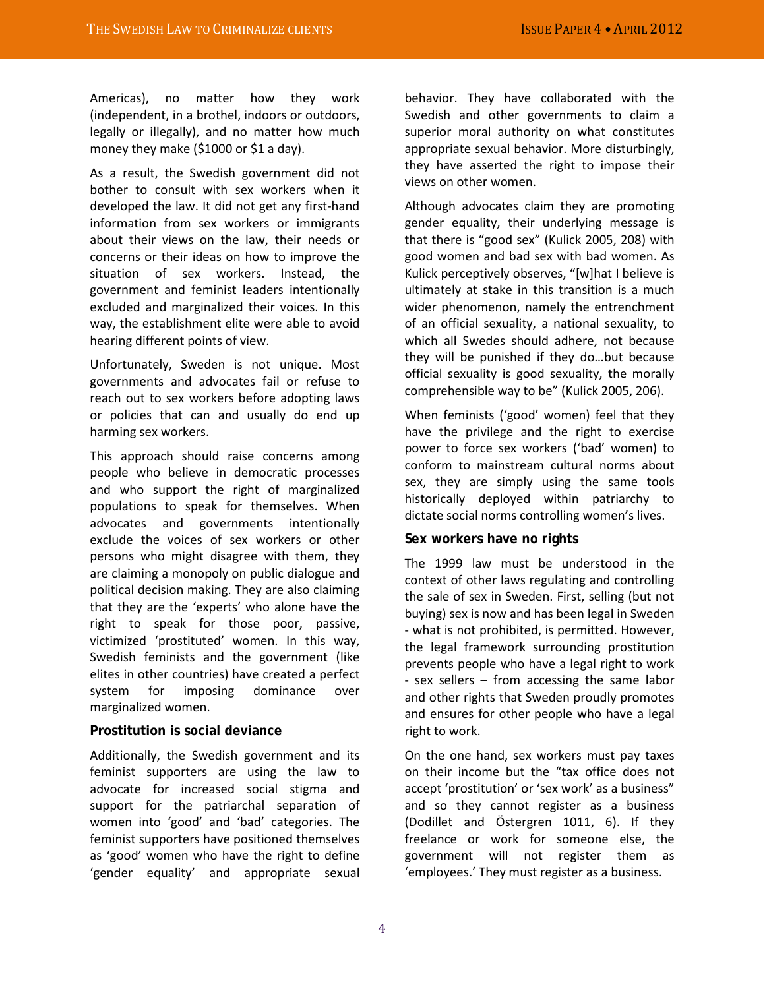Americas), no matter how they work (independent, in a brothel, indoors or outdoors, legally or illegally), and no matter how much money they make (\$1000 or \$1 a day).

As a result, the Swedish government did not bother to consult with sex workers when it developed the law. It did not get any first-hand information from sex workers or immigrants about their views on the law, their needs or concerns or their ideas on how to improve the situation of sex workers. Instead, the government and feminist leaders intentionally excluded and marginalized their voices. In this way, the establishment elite were able to avoid hearing different points of view.

Unfortunately, Sweden is not unique. Most governments and advocates fail or refuse to reach out to sex workers before adopting laws or policies that can and usually do end up harming sex workers.

This approach should raise concerns among people who believe in democratic processes and who support the right of marginalized populations to speak for themselves. When advocates and governments intentionally exclude the voices of sex workers or other persons who might disagree with them, they are claiming a monopoly on public dialogue and political decision making. They are also claiming that they are the 'experts' who alone have the right to speak for those poor, passive, victimized 'prostituted' women. In this way, Swedish feminists and the government (like elites in other countries) have created a perfect system for imposing dominance over marginalized women.

#### **Prostitution is social deviance**

Additionally, the Swedish government and its feminist supporters are using the law to advocate for increased social stigma and support for the patriarchal separation of women into 'good' and 'bad' categories. The feminist supporters have positioned themselves as 'good' women who have the right to define 'gender equality' and appropriate sexual

behavior. They have collaborated with the Swedish and other governments to claim a superior moral authority on what constitutes appropriate sexual behavior. More disturbingly, they have asserted the right to impose their views on other women.

Although advocates claim they are promoting gender equality, their underlying message is that there is "good sex" (Kulick 2005, 208) with good women and bad sex with bad women. As Kulick perceptively observes, "[w]hat I believe is ultimately at stake in this transition is a much wider phenomenon, namely the entrenchment of an official sexuality, a national sexuality, to which all Swedes should adhere, not because they will be punished if they do…but because official sexuality is good sexuality, the morally comprehensible way to be" (Kulick 2005, 206).

When feminists ('good' women) feel that they have the privilege and the right to exercise power to force sex workers ('bad' women) to conform to mainstream cultural norms about sex, they are simply using the same tools historically deployed within patriarchy to dictate social norms controlling women's lives.

#### **Sex workers have no rights**

The 1999 law must be understood in the context of other laws regulating and controlling the sale of sex in Sweden. First, selling (but not buying) sex is now and has been legal in Sweden - what is not prohibited, is permitted. However, the legal framework surrounding prostitution prevents people who have a legal right to work - sex sellers – from accessing the same labor and other rights that Sweden proudly promotes and ensures for other people who have a legal right to work.

On the one hand, sex workers must pay taxes on their income but the "tax office does not accept 'prostitution' or 'sex work' as a business" and so they cannot register as a business (Dodillet and Östergren 1011, 6). If they freelance or work for someone else, the government will not register them as 'employees.' They must register as a business.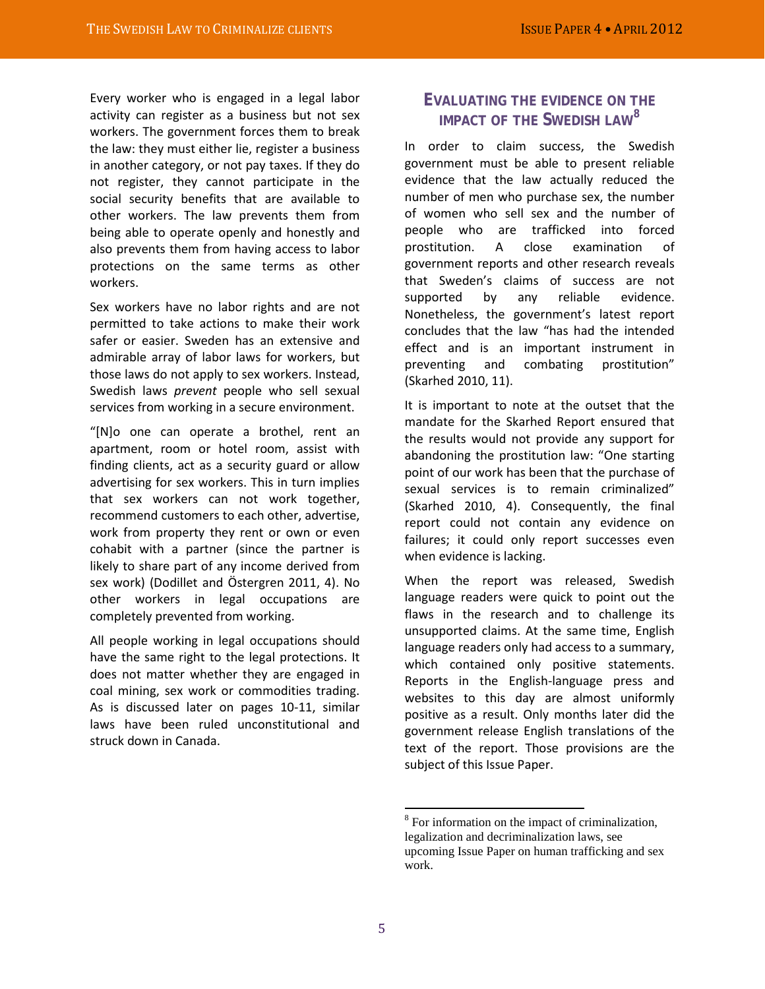Every worker who is engaged in a legal labor activity can register as a business but not sex workers. The government forces them to break the law: they must either lie, register a business in another category, or not pay taxes. If they do not register, they cannot participate in the social security benefits that are available to other workers. The law prevents them from being able to operate openly and honestly and also prevents them from having access to labor protections on the same terms as other workers.

Sex workers have no labor rights and are not permitted to take actions to make their work safer or easier. Sweden has an extensive and admirable array of labor laws for workers, but those laws do not apply to sex workers. Instead, Swedish laws *prevent* people who sell sexual services from working in a secure environment.

"[N]o one can operate a brothel, rent an apartment, room or hotel room, assist with finding clients, act as a security guard or allow advertising for sex workers. This in turn implies that sex workers can not work together, recommend customers to each other, advertise, work from property they rent or own or even cohabit with a partner (since the partner is likely to share part of any income derived from sex work) (Dodillet and Östergren 2011, 4). No other workers in legal occupations are completely prevented from working.

<span id="page-4-0"></span>All people working in legal occupations should have the same right to the legal protections. It does not matter whether they are engaged in coal mining, sex work or commodities trading. As is discussed later on pages 10-11, similar laws have been ruled unconstitutional and struck down in Canada.

## **EVALUATING THE EVIDENCE ON THE IMPACT OF THE SWEDISH LAW[8](#page-4-0)**

In order to claim success, the Swedish government must be able to present reliable evidence that the law actually reduced the number of men who purchase sex, the number of women who sell sex and the number of people who are trafficked into forced prostitution. A close examination of government reports and other research reveals that Sweden's claims of success are not supported by any reliable evidence. Nonetheless, the government's latest report concludes that the law "has had the intended effect and is an important instrument in preventing and combating prostitution" (Skarhed 2010, 11).

It is important to note at the outset that the mandate for the Skarhed Report ensured that the results would not provide any support for abandoning the prostitution law: "One starting point of our work has been that the purchase of sexual services is to remain criminalized" (Skarhed 2010, 4). Consequently, the final report could not contain any evidence on failures; it could only report successes even when evidence is lacking.

When the report was released, Swedish language readers were quick to point out the flaws in the research and to challenge its unsupported claims. At the same time, English language readers only had access to a summary, which contained only positive statements. Reports in the English-language press and websites to this day are almost uniformly positive as a result. Only months later did the government release English translations of the text of the report. Those provisions are the subject of this Issue Paper.

<sup>&</sup>lt;sup>8</sup> For information on the impact of criminalization, legalization and decriminalization laws, see upcoming Issue Paper on human trafficking and sex work.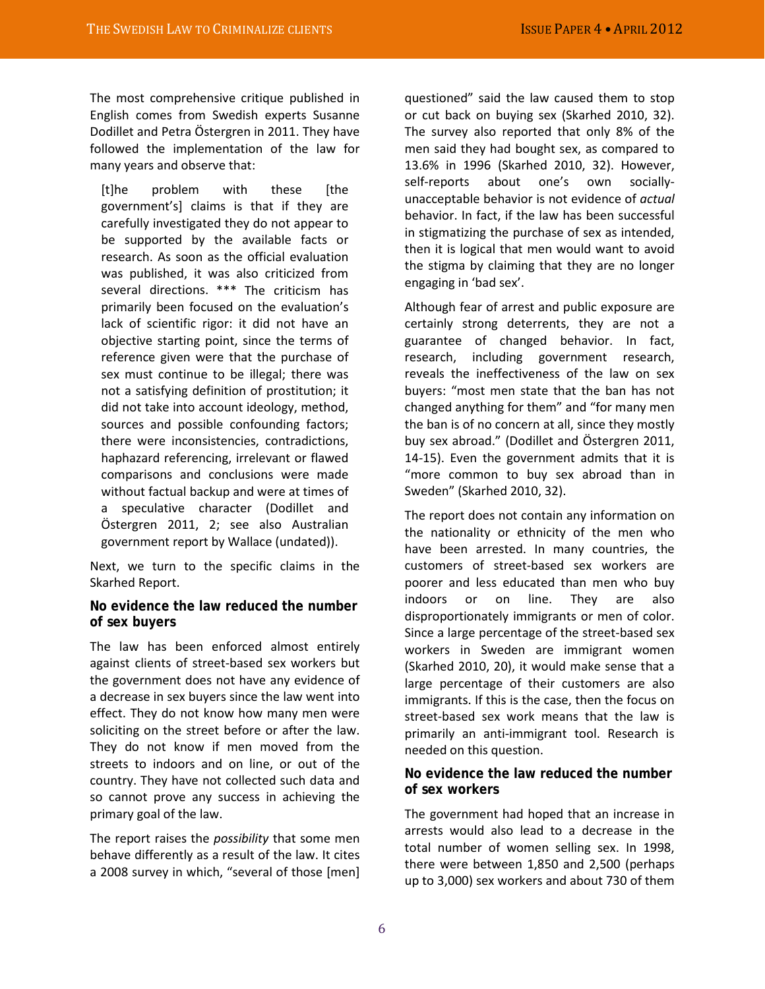The most comprehensive critique published in English comes from Swedish experts Susanne Dodillet and Petra Östergren in 2011. They have followed the implementation of the law for many years and observe that:

[t]he problem with these [the government's] claims is that if they are carefully investigated they do not appear to be supported by the available facts or research. As soon as the official evaluation was published, it was also criticized from several directions. \*\*\* The criticism has primarily been focused on the evaluation's lack of scientific rigor: it did not have an objective starting point, since the terms of reference given were that the purchase of sex must continue to be illegal; there was not a satisfying definition of prostitution; it did not take into account ideology, method, sources and possible confounding factors; there were inconsistencies, contradictions, haphazard referencing, irrelevant or flawed comparisons and conclusions were made without factual backup and were at times of a speculative character (Dodillet and Östergren 2011, 2; see also Australian government report by Wallace (undated)).

Next, we turn to the specific claims in the Skarhed Report.

#### **No evidence the law reduced the number of sex buyers**

The law has been enforced almost entirely against clients of street-based sex workers but the government does not have any evidence of a decrease in sex buyers since the law went into effect. They do not know how many men were soliciting on the street before or after the law. They do not know if men moved from the streets to indoors and on line, or out of the country. They have not collected such data and so cannot prove any success in achieving the primary goal of the law.

The report raises the *possibility* that some men behave differently as a result of the law. It cites a 2008 survey in which, "several of those [men]

questioned" said the law caused them to stop or cut back on buying sex (Skarhed 2010, 32). The survey also reported that only 8% of the men said they had bought sex, as compared to 13.6% in 1996 (Skarhed 2010, 32). However, self-reports about one's own sociallyunacceptable behavior is not evidence of *actual* behavior. In fact, if the law has been successful in stigmatizing the purchase of sex as intended, then it is logical that men would want to avoid the stigma by claiming that they are no longer engaging in 'bad sex'.

Although fear of arrest and public exposure are certainly strong deterrents, they are not a guarantee of changed behavior. In fact, research, including government research, reveals the ineffectiveness of the law on sex buyers: "most men state that the ban has not changed anything for them" and "for many men the ban is of no concern at all, since they mostly buy sex abroad." (Dodillet and Östergren 2011, 14-15). Even the government admits that it is "more common to buy sex abroad than in Sweden" (Skarhed 2010, 32).

The report does not contain any information on the nationality or ethnicity of the men who have been arrested. In many countries, the customers of street-based sex workers are poorer and less educated than men who buy indoors or on line. They are also disproportionately immigrants or men of color. Since a large percentage of the street-based sex workers in Sweden are immigrant women (Skarhed 2010, 20), it would make sense that a large percentage of their customers are also immigrants. If this is the case, then the focus on street-based sex work means that the law is primarily an anti-immigrant tool. Research is needed on this question.

### **No evidence the law reduced the number of sex workers**

The government had hoped that an increase in arrests would also lead to a decrease in the total number of women selling sex. In 1998, there were between 1,850 and 2,500 (perhaps up to 3,000) sex workers and about 730 of them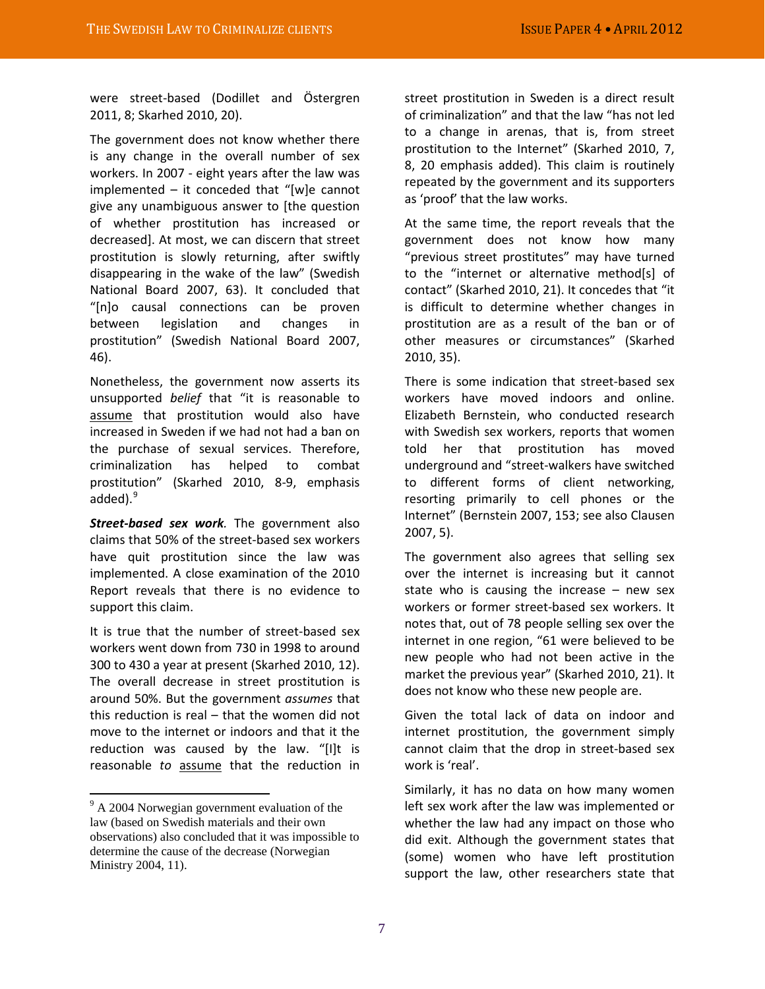were street-based (Dodillet and Östergren 2011, 8; Skarhed 2010, 20).

The government does not know whether there is any change in the overall number of sex workers. In 2007 - eight years after the law was implemented – it conceded that "[w]e cannot give any unambiguous answer to [the question of whether prostitution has increased or decreased]. At most, we can discern that street prostitution is slowly returning, after swiftly disappearing in the wake of the law" (Swedish National Board 2007, 63). It concluded that "[n]o causal connections can be proven between legislation and changes in prostitution" (Swedish National Board 2007, 46).

Nonetheless, the government now asserts its unsupported *belief* that "it is reasonable to assume that prostitution would also have increased in Sweden if we had not had a ban on the purchase of sexual services. Therefore, criminalization has helped to combat prostitution" (Skarhed 2010, 8-9, emphasis added).<sup>[9](#page-6-0)</sup>

*Street-based sex work.* The government also claims that 50% of the street-based sex workers have quit prostitution since the law was implemented. A close examination of the 2010 Report reveals that there is no evidence to support this claim.

It is true that the number of street-based sex workers went down from 730 in 1998 to around 300 to 430 a year at present (Skarhed 2010, 12). The overall decrease in street prostitution is around 50%. But the government *assumes* that this reduction is real – that the women did not move to the internet or indoors and that it the reduction was caused by the law. "[I]t is reasonable *to* assume that the reduction in

street prostitution in Sweden is a direct result of criminalization" and that the law "has not led to a change in arenas, that is, from street prostitution to the Internet" (Skarhed 2010, 7, 8, 20 emphasis added). This claim is routinely repeated by the government and its supporters as 'proof' that the law works.

At the same time, the report reveals that the government does not know how many "previous street prostitutes" may have turned to the "internet or alternative method[s] of contact" (Skarhed 2010, 21). It concedes that "it is difficult to determine whether changes in prostitution are as a result of the ban or of other measures or circumstances" (Skarhed 2010, 35).

There is some indication that street-based sex workers have moved indoors and online. Elizabeth Bernstein, who conducted research with Swedish sex workers, reports that women told her that prostitution has moved underground and "street-walkers have switched to different forms of client networking, resorting primarily to cell phones or the Internet" (Bernstein 2007, 153; see also Clausen 2007, 5).

The government also agrees that selling sex over the internet is increasing but it cannot state who is causing the increase  $-$  new sex workers or former street-based sex workers. It notes that, out of 78 people selling sex over the internet in one region, "61 were believed to be new people who had not been active in the market the previous year" (Skarhed 2010, 21). It does not know who these new people are.

Given the total lack of data on indoor and internet prostitution, the government simply cannot claim that the drop in street-based sex work is 'real'.

Similarly, it has no data on how many women left sex work after the law was implemented or whether the law had any impact on those who did exit. Although the government states that (some) women who have left prostitution support the law, other researchers state that

<span id="page-6-0"></span><sup>&</sup>lt;sup>9</sup> A 2004 Norwegian government evaluation of the law (based on Swedish materials and their own observations) also concluded that it was impossible to determine the cause of the decrease (Norwegian Ministry 2004, 11).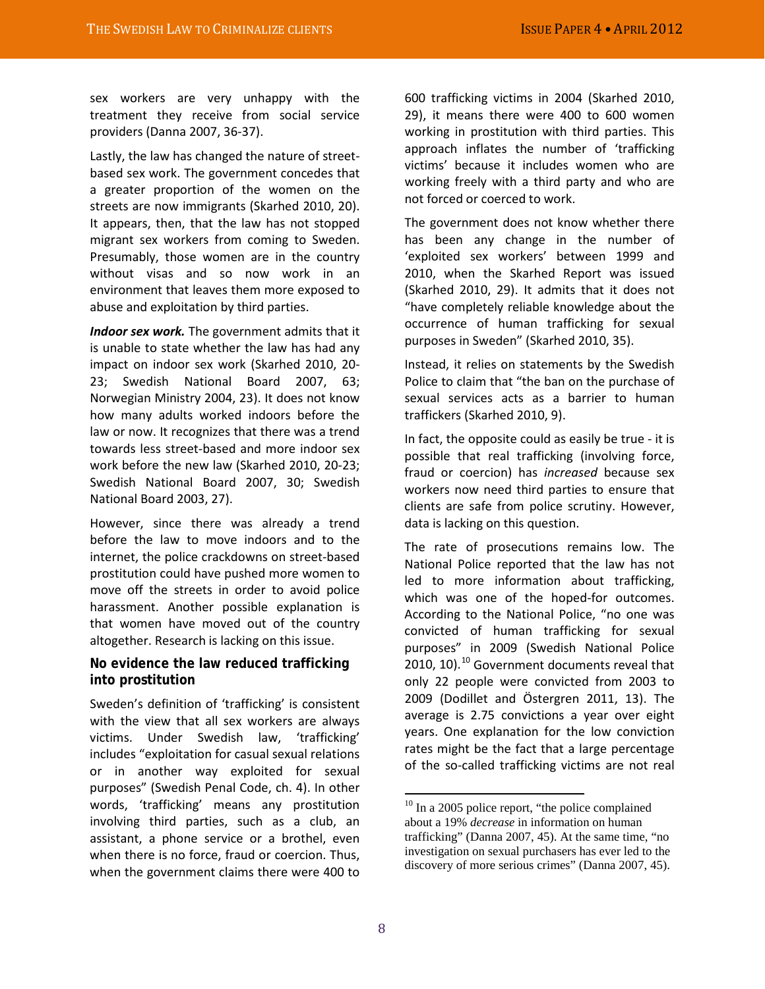sex workers are very unhappy with the treatment they receive from social service providers (Danna 2007, 36-37).

Lastly, the law has changed the nature of streetbased sex work. The government concedes that a greater proportion of the women on the streets are now immigrants (Skarhed 2010, 20). It appears, then, that the law has not stopped migrant sex workers from coming to Sweden. Presumably, those women are in the country without visas and so now work in an environment that leaves them more exposed to abuse and exploitation by third parties.

*Indoor sex work.* The government admits that it is unable to state whether the law has had any impact on indoor sex work (Skarhed 2010, 20- 23; Swedish National Board 2007, 63; Norwegian Ministry 2004, 23). It does not know how many adults worked indoors before the law or now. It recognizes that there was a trend towards less street-based and more indoor sex work before the new law (Skarhed 2010, 20-23; Swedish National Board 2007, 30; Swedish National Board 2003, 27).

However, since there was already a trend before the law to move indoors and to the internet, the police crackdowns on street-based prostitution could have pushed more women to move off the streets in order to avoid police harassment. Another possible explanation is that women have moved out of the country altogether. Research is lacking on this issue.

### **No evidence the law reduced trafficking into prostitution**

<span id="page-7-0"></span>Sweden's definition of 'trafficking' is consistent with the view that all sex workers are always victims. Under Swedish law, 'trafficking' includes "exploitation for casual sexual relations or in another way exploited for sexual purposes" (Swedish Penal Code, ch. 4). In other words, 'trafficking' means any prostitution involving third parties, such as a club, an assistant, a phone service or a brothel, even when there is no force, fraud or coercion. Thus, when the government claims there were 400 to

600 trafficking victims in 2004 (Skarhed 2010, 29), it means there were 400 to 600 women working in prostitution with third parties. This approach inflates the number of 'trafficking victims' because it includes women who are working freely with a third party and who are not forced or coerced to work.

The government does not know whether there has been any change in the number of 'exploited sex workers' between 1999 and 2010, when the Skarhed Report was issued (Skarhed 2010, 29). It admits that it does not "have completely reliable knowledge about the occurrence of human trafficking for sexual purposes in Sweden" (Skarhed 2010, 35).

Instead, it relies on statements by the Swedish Police to claim that "the ban on the purchase of sexual services acts as a barrier to human traffickers (Skarhed 2010, 9).

In fact, the opposite could as easily be true - it is possible that real trafficking (involving force, fraud or coercion) has *increased* because sex workers now need third parties to ensure that clients are safe from police scrutiny. However, data is lacking on this question.

The rate of prosecutions remains low. The National Police reported that the law has not led to more information about trafficking, which was one of the hoped-for outcomes. According to the National Police, "no one was convicted of human trafficking for sexual purposes" in 2009 (Swedish National Police 20[10](#page-7-0), 10). $^{10}$  Government documents reveal that only 22 people were convicted from 2003 to 2009 (Dodillet and Östergren 2011, 13). The average is 2.75 convictions a year over eight years. One explanation for the low conviction rates might be the fact that a large percentage of the so-called trafficking victims are not real

 $10$  In a 2005 police report, "the police complained about a 19% *decrease* in information on human trafficking" (Danna 2007, 45). At the same time, "no investigation on sexual purchasers has ever led to the discovery of more serious crimes" (Danna 2007, 45).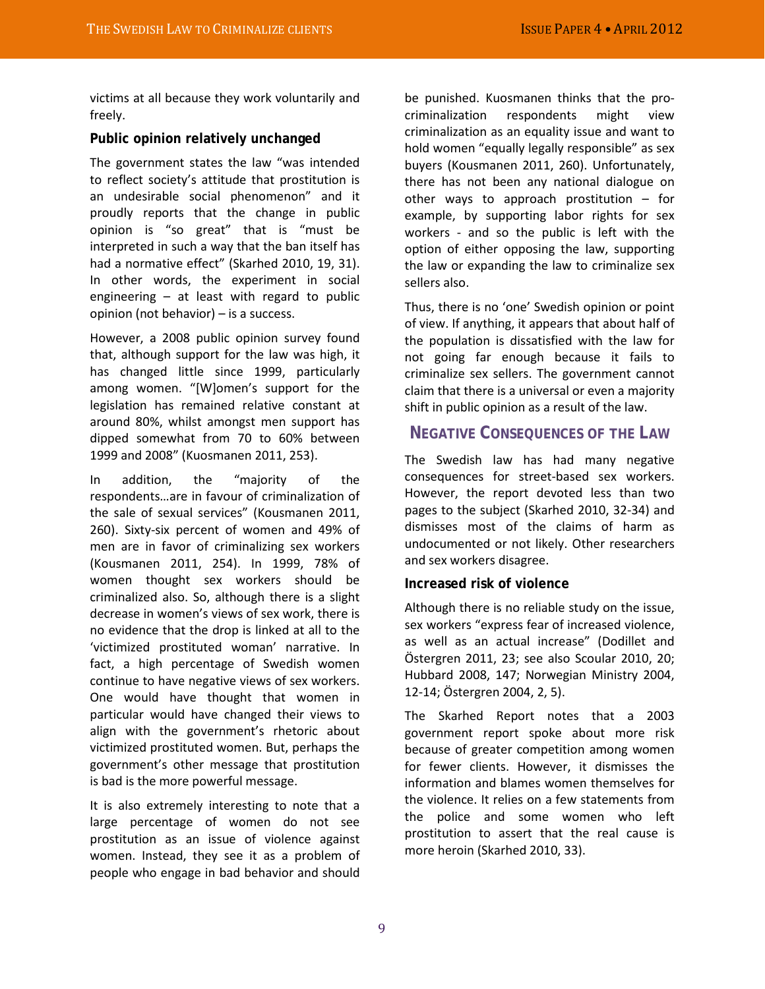victims at all because they work voluntarily and freely.

#### **Public opinion relatively unchanged**

The government states the law "was intended to reflect society's attitude that prostitution is an undesirable social phenomenon" and it proudly reports that the change in public opinion is "so great" that is "must be interpreted in such a way that the ban itself has had a normative effect" (Skarhed 2010, 19, 31). In other words, the experiment in social engineering – at least with regard to public opinion (not behavior) – is a success.

However, a 2008 public opinion survey found that, although support for the law was high, it has changed little since 1999, particularly among women. "[W]omen's support for the legislation has remained relative constant at around 80%, whilst amongst men support has dipped somewhat from 70 to 60% between 1999 and 2008" (Kuosmanen 2011, 253).

In addition, the "majority of the respondents…are in favour of criminalization of the sale of sexual services" (Kousmanen 2011, 260). Sixty-six percent of women and 49% of men are in favor of criminalizing sex workers (Kousmanen 2011, 254). In 1999, 78% of women thought sex workers should be criminalized also. So, although there is a slight decrease in women's views of sex work, there is no evidence that the drop is linked at all to the 'victimized prostituted woman' narrative. In fact, a high percentage of Swedish women continue to have negative views of sex workers. One would have thought that women in particular would have changed their views to align with the government's rhetoric about victimized prostituted women. But, perhaps the government's other message that prostitution is bad is the more powerful message.

It is also extremely interesting to note that a large percentage of women do not see prostitution as an issue of violence against women. Instead, they see it as a problem of people who engage in bad behavior and should

be punished. Kuosmanen thinks that the procriminalization respondents might view criminalization as an equality issue and want to hold women "equally legally responsible" as sex buyers (Kousmanen 2011, 260). Unfortunately, there has not been any national dialogue on other ways to approach prostitution – for example, by supporting labor rights for sex workers - and so the public is left with the option of either opposing the law, supporting the law or expanding the law to criminalize sex sellers also.

Thus, there is no 'one' Swedish opinion or point of view. If anything, it appears that about half of the population is dissatisfied with the law for not going far enough because it fails to criminalize sex sellers. The government cannot claim that there is a universal or even a majority shift in public opinion as a result of the law.

## **NEGATIVE CONSEQUENCES OF THE LAW**

The Swedish law has had many negative consequences for street-based sex workers. However, the report devoted less than two pages to the subject (Skarhed 2010, 32-34) and dismisses most of the claims of harm as undocumented or not likely. Other researchers and sex workers disagree.

#### **Increased risk of violence**

Although there is no reliable study on the issue, sex workers "express fear of increased violence, as well as an actual increase" (Dodillet and Östergren 2011, 23; see also Scoular 2010, 20; Hubbard 2008, 147; Norwegian Ministry 2004, 12-14; Östergren 2004, 2, 5).

The Skarhed Report notes that a 2003 government report spoke about more risk because of greater competition among women for fewer clients. However, it dismisses the information and blames women themselves for the violence. It relies on a few statements from the police and some women who left prostitution to assert that the real cause is more heroin (Skarhed 2010, 33).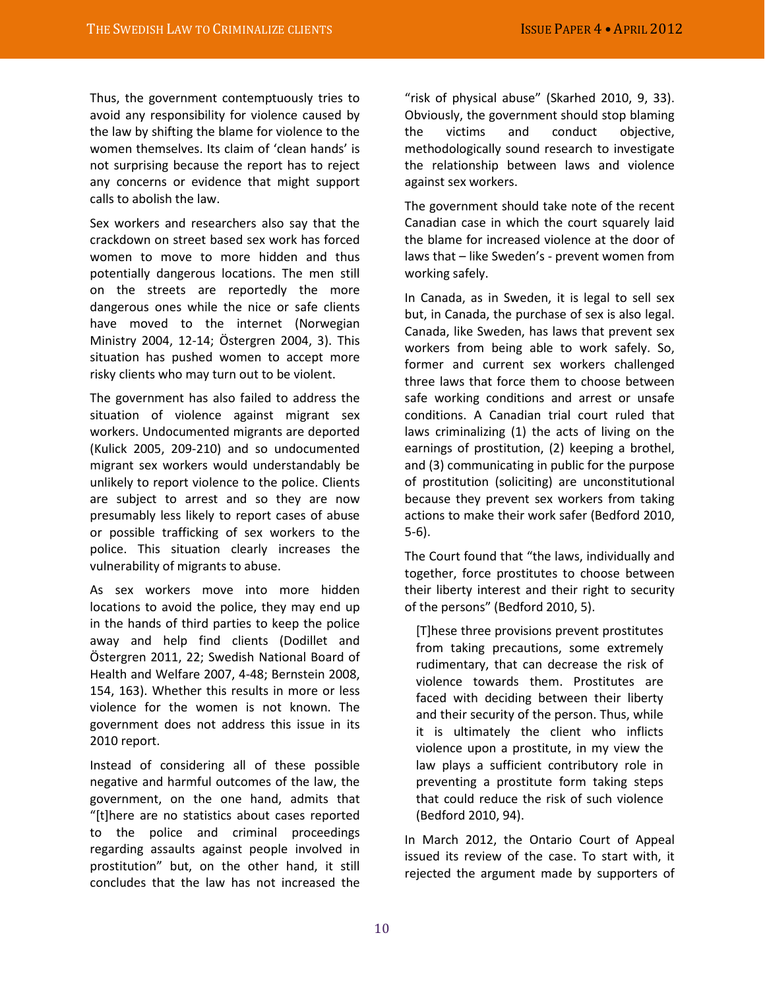Thus, the government contemptuously tries to avoid any responsibility for violence caused by the law by shifting the blame for violence to the women themselves. Its claim of 'clean hands' is not surprising because the report has to reject any concerns or evidence that might support calls to abolish the law.

Sex workers and researchers also say that the crackdown on street based sex work has forced women to move to more hidden and thus potentially dangerous locations. The men still on the streets are reportedly the more dangerous ones while the nice or safe clients have moved to the internet (Norwegian Ministry 2004, 12-14; Östergren 2004, 3). This situation has pushed women to accept more risky clients who may turn out to be violent.

The government has also failed to address the situation of violence against migrant sex workers. Undocumented migrants are deported (Kulick 2005, 209-210) and so undocumented migrant sex workers would understandably be unlikely to report violence to the police. Clients are subject to arrest and so they are now presumably less likely to report cases of abuse or possible trafficking of sex workers to the police. This situation clearly increases the vulnerability of migrants to abuse.

As sex workers move into more hidden locations to avoid the police, they may end up in the hands of third parties to keep the police away and help find clients (Dodillet and Östergren 2011, 22; Swedish National Board of Health and Welfare 2007, 4-48; Bernstein 2008, 154, 163). Whether this results in more or less violence for the women is not known. The government does not address this issue in its 2010 report.

Instead of considering all of these possible negative and harmful outcomes of the law, the government, on the one hand, admits that "[t]here are no statistics about cases reported to the police and criminal proceedings regarding assaults against people involved in prostitution" but, on the other hand, it still concludes that the law has not increased the

"risk of physical abuse" (Skarhed 2010, 9, 33). Obviously, the government should stop blaming the victims and conduct objective, methodologically sound research to investigate the relationship between laws and violence against sex workers.

The government should take note of the recent Canadian case in which the court squarely laid the blame for increased violence at the door of laws that – like Sweden's - prevent women from working safely.

In Canada, as in Sweden, it is legal to sell sex but, in Canada, the purchase of sex is also legal. Canada, like Sweden, has laws that prevent sex workers from being able to work safely. So, former and current sex workers challenged three laws that force them to choose between safe working conditions and arrest or unsafe conditions. A Canadian trial court ruled that laws criminalizing (1) the acts of living on the earnings of prostitution, (2) keeping a brothel, and (3) communicating in public for the purpose of prostitution (soliciting) are unconstitutional because they prevent sex workers from taking actions to make their work safer (Bedford 2010, 5-6).

The Court found that "the laws, individually and together, force prostitutes to choose between their liberty interest and their right to security of the persons" (Bedford 2010, 5).

[T]hese three provisions prevent prostitutes from taking precautions, some extremely rudimentary, that can decrease the risk of violence towards them. Prostitutes are faced with deciding between their liberty and their security of the person. Thus, while it is ultimately the client who inflicts violence upon a prostitute, in my view the law plays a sufficient contributory role in preventing a prostitute form taking steps that could reduce the risk of such violence (Bedford 2010, 94).

In March 2012, the Ontario Court of Appeal issued its review of the case. To start with, it rejected the argument made by supporters of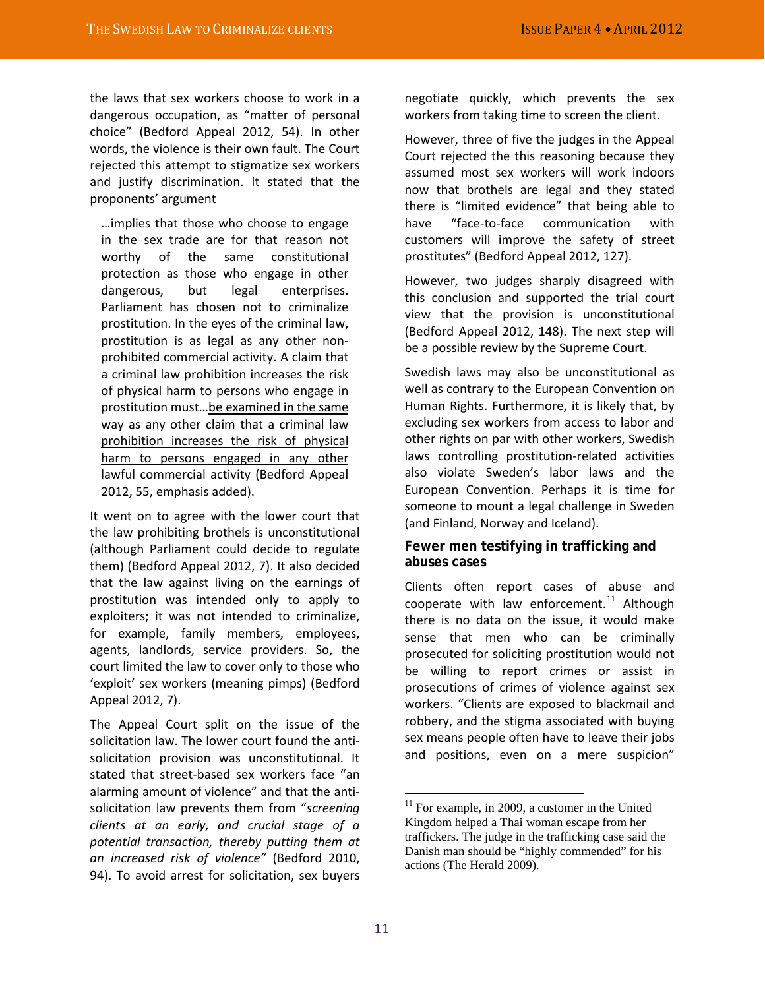the laws that sex workers choose to work in a dangerous occupation, as "matter of personal choice" (Bedford Appeal 2012, 54). In other words, the violence is their own fault. The Court rejected this attempt to stigmatize sex workers and justify discrimination. It stated that the proponents' argument

…implies that those who choose to engage in the sex trade are for that reason not worthy of the same constitutional protection as those who engage in other dangerous, but legal enterprises. Parliament has chosen not to criminalize prostitution. In the eyes of the criminal law, prostitution is as legal as any other nonprohibited commercial activity. A claim that a criminal law prohibition increases the risk of physical harm to persons who engage in prostitution must…be examined in the same way as any other claim that a criminal law prohibition increases the risk of physical harm to persons engaged in any other lawful commercial activity (Bedford Appeal 2012, 55, emphasis added).

It went on to agree with the lower court that the law prohibiting brothels is unconstitutional (although Parliament could decide to regulate them) (Bedford Appeal 2012, 7). It also decided that the law against living on the earnings of prostitution was intended only to apply to exploiters; it was not intended to criminalize, for example, family members, employees, agents, landlords, service providers. So, the court limited the law to cover only to those who 'exploit' sex workers (meaning pimps) (Bedford Appeal 2012, 7).

<span id="page-10-0"></span>The Appeal Court split on the issue of the solicitation law. The lower court found the antisolicitation provision was unconstitutional. It stated that street-based sex workers face "an alarming amount of violence" and that the antisolicitation law prevents them from "*screening clients at an early, and crucial stage of a potential transaction, thereby putting them at an increased risk of violence"* (Bedford 2010, 94). To avoid arrest for solicitation, sex buyers

negotiate quickly, which prevents the sex workers from taking time to screen the client.

However, three of five the judges in the Appeal Court rejected the this reasoning because they assumed most sex workers will work indoors now that brothels are legal and they stated there is "limited evidence" that being able to have "face-to-face communication with customers will improve the safety of street prostitutes" (Bedford Appeal 2012, 127).

However, two judges sharply disagreed with this conclusion and supported the trial court view that the provision is unconstitutional (Bedford Appeal 2012, 148). The next step will be a possible review by the Supreme Court.

Swedish laws may also be unconstitutional as well as contrary to the European Convention on Human Rights. Furthermore, it is likely that, by excluding sex workers from access to labor and other rights on par with other workers, Swedish laws controlling prostitution-related activities also violate Sweden's labor laws and the European Convention. Perhaps it is time for someone to mount a legal challenge in Sweden (and Finland, Norway and Iceland).

### **Fewer men testifying in trafficking and abuses cases**

Clients often report cases of abuse and cooperate with law enforcement.<sup>[11](#page-10-0)</sup> Although there is no data on the issue, it would make sense that men who can be criminally prosecuted for soliciting prostitution would not be willing to report crimes or assist in prosecutions of crimes of violence against sex workers. "Clients are exposed to blackmail and robbery, and the stigma associated with buying sex means people often have to leave their jobs and positions, even on a mere suspicion"

 $11$  For example, in 2009, a customer in the United Kingdom helped a Thai woman escape from her traffickers. The judge in the trafficking case said the Danish man should be "highly commended" for his actions (The Herald 2009).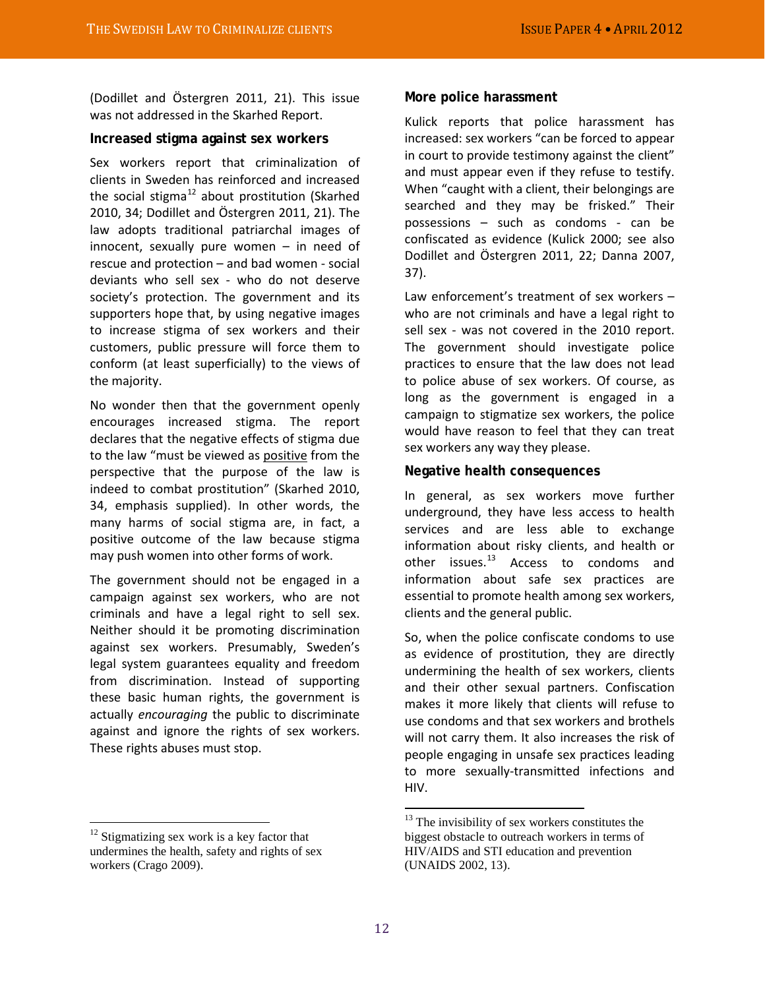(Dodillet and Östergren 2011, 21). This issue was not addressed in the Skarhed Report.

#### **Increased stigma against sex workers**

Sex workers report that criminalization of clients in Sweden has reinforced and increased the social stigma<sup>[12](#page-11-0)</sup> about prostitution (Skarhed 2010, 34; Dodillet and Östergren 2011, 21). The law adopts traditional patriarchal images of innocent, sexually pure women – in need of rescue and protection – and bad women - social deviants who sell sex - who do not deserve society's protection. The government and its supporters hope that, by using negative images to increase stigma of sex workers and their customers, public pressure will force them to conform (at least superficially) to the views of the majority.

No wonder then that the government openly encourages increased stigma. The report declares that the negative effects of stigma due to the law "must be viewed as positive from the perspective that the purpose of the law is indeed to combat prostitution" (Skarhed 2010, 34, emphasis supplied). In other words, the many harms of social stigma are, in fact, a positive outcome of the law because stigma may push women into other forms of work.

The government should not be engaged in a campaign against sex workers, who are not criminals and have a legal right to sell sex. Neither should it be promoting discrimination against sex workers. Presumably, Sweden's legal system guarantees equality and freedom from discrimination. Instead of supporting these basic human rights, the government is actually *encouraging* the public to discriminate against and ignore the rights of sex workers. These rights abuses must stop.

#### **More police harassment**

Kulick reports that police harassment has increased: sex workers "can be forced to appear in court to provide testimony against the client" and must appear even if they refuse to testify. When "caught with a client, their belongings are searched and they may be frisked." Their possessions – such as condoms - can be confiscated as evidence (Kulick 2000; see also Dodillet and Östergren 2011, 22; Danna 2007, 37).

Law enforcement's treatment of sex workers – who are not criminals and have a legal right to sell sex - was not covered in the 2010 report. The government should investigate police practices to ensure that the law does not lead to police abuse of sex workers. Of course, as long as the government is engaged in a campaign to stigmatize sex workers, the police would have reason to feel that they can treat sex workers any way they please.

#### **Negative health consequences**

In general, as sex workers move further underground, they have less access to health services and are less able to exchange information about risky clients, and health or other issues.<sup>[13](#page-11-1)</sup> Access to condoms and information about safe sex practices are essential to promote health among sex workers, clients and the general public.

So, when the police confiscate condoms to use as evidence of prostitution, they are directly undermining the health of sex workers, clients and their other sexual partners. Confiscation makes it more likely that clients will refuse to use condoms and that sex workers and brothels will not carry them. It also increases the risk of people engaging in unsafe sex practices leading to more sexually-transmitted infections and HIV.

<span id="page-11-1"></span><span id="page-11-0"></span> $12$  Stigmatizing sex work is a key factor that undermines the health, safety and rights of sex workers (Crago 2009).

 $13$  The invisibility of sex workers constitutes the biggest obstacle to outreach workers in terms of HIV/AIDS and STI education and prevention (UNAIDS 2002, 13).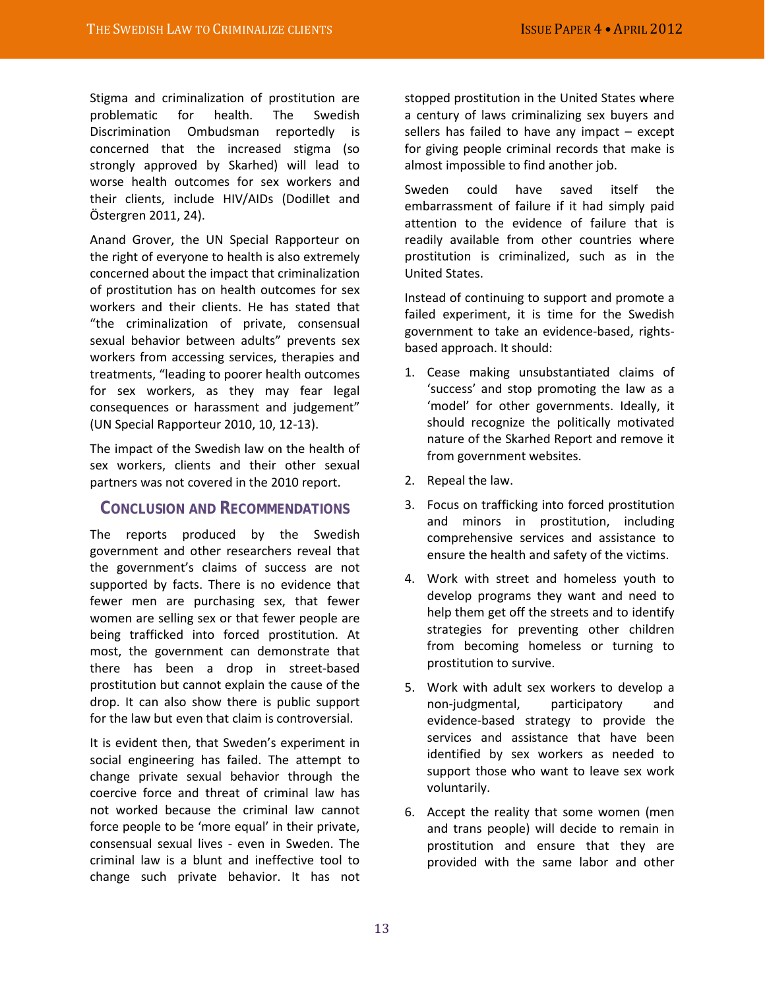Stigma and criminalization of prostitution are problematic for health. The Swedish Discrimination Ombudsman reportedly is concerned that the increased stigma (so strongly approved by Skarhed) will lead to worse health outcomes for sex workers and their clients, include HIV/AIDs (Dodillet and Östergren 2011, 24).

Anand Grover, the UN Special Rapporteur on the right of everyone to health is also extremely concerned about the impact that criminalization of prostitution has on health outcomes for sex workers and their clients. He has stated that "the criminalization of private, consensual sexual behavior between adults" prevents sex workers from accessing services, therapies and treatments, "leading to poorer health outcomes for sex workers, as they may fear legal consequences or harassment and judgement" (UN Special Rapporteur 2010, 10, 12-13).

The impact of the Swedish law on the health of sex workers, clients and their other sexual partners was not covered in the 2010 report.

## **CONCLUSION AND RECOMMENDATIONS**

The reports produced by the Swedish government and other researchers reveal that the government's claims of success are not supported by facts. There is no evidence that fewer men are purchasing sex, that fewer women are selling sex or that fewer people are being trafficked into forced prostitution. At most, the government can demonstrate that there has been a drop in street-based prostitution but cannot explain the cause of the drop. It can also show there is public support for the law but even that claim is controversial.

It is evident then, that Sweden's experiment in social engineering has failed. The attempt to change private sexual behavior through the coercive force and threat of criminal law has not worked because the criminal law cannot force people to be 'more equal' in their private, consensual sexual lives - even in Sweden. The criminal law is a blunt and ineffective tool to change such private behavior. It has not

stopped prostitution in the United States where a century of laws criminalizing sex buyers and sellers has failed to have any impact – except for giving people criminal records that make is almost impossible to find another job.

Sweden could have saved itself the embarrassment of failure if it had simply paid attention to the evidence of failure that is readily available from other countries where prostitution is criminalized, such as in the United States.

Instead of continuing to support and promote a failed experiment, it is time for the Swedish government to take an evidence-based, rightsbased approach. It should:

- 1. Cease making unsubstantiated claims of 'success' and stop promoting the law as a 'model' for other governments. Ideally, it should recognize the politically motivated nature of the Skarhed Report and remove it from government websites.
- 2. Repeal the law.
- 3. Focus on trafficking into forced prostitution and minors in prostitution, including comprehensive services and assistance to ensure the health and safety of the victims.
- 4. Work with street and homeless youth to develop programs they want and need to help them get off the streets and to identify strategies for preventing other children from becoming homeless or turning to prostitution to survive.
- 5. Work with adult sex workers to develop a non-judgmental, participatory and evidence-based strategy to provide the services and assistance that have been identified by sex workers as needed to support those who want to leave sex work voluntarily.
- 6. Accept the reality that some women (men and trans people) will decide to remain in prostitution and ensure that they are provided with the same labor and other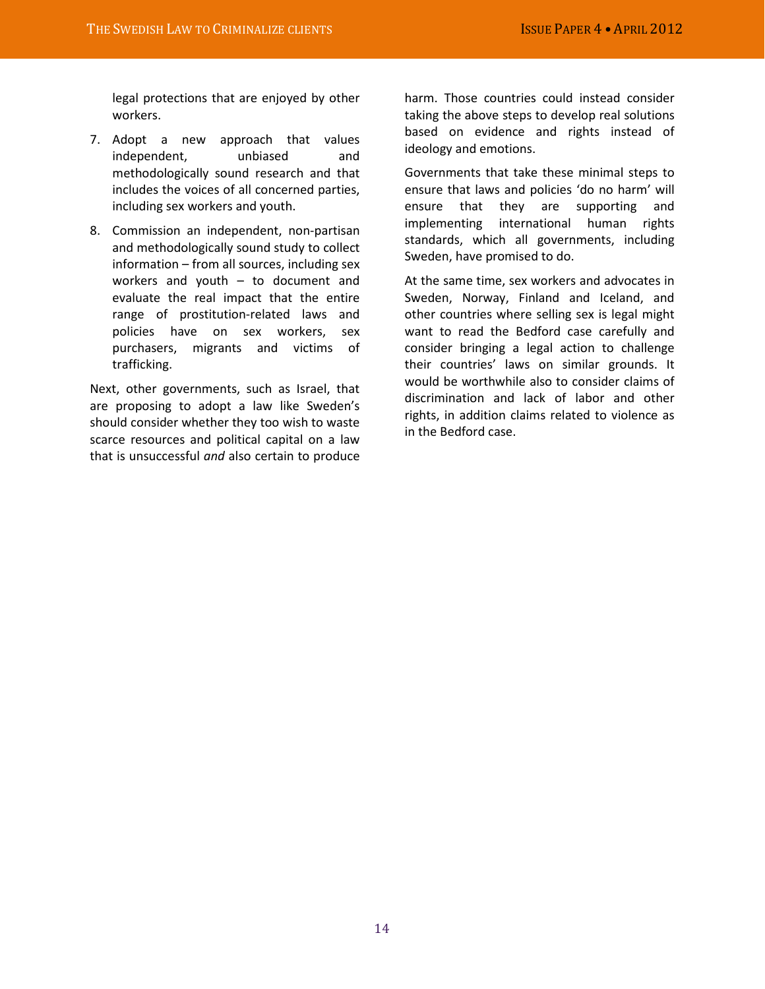legal protections that are enjoyed by other workers.

- 7. Adopt a new approach that values independent, unbiased and methodologically sound research and that includes the voices of all concerned parties, including sex workers and youth.
- 8. Commission an independent, non-partisan and methodologically sound study to collect information – from all sources, including sex workers and youth – to document and evaluate the real impact that the entire range of prostitution-related laws and policies have on sex workers, sex purchasers, migrants and victims of trafficking.

Next, other governments, such as Israel, that are proposing to adopt a law like Sweden's should consider whether they too wish to waste scarce resources and political capital on a law that is unsuccessful *and* also certain to produce

harm. Those countries could instead consider taking the above steps to develop real solutions based on evidence and rights instead of ideology and emotions.

Governments that take these minimal steps to ensure that laws and policies 'do no harm' will ensure that they are supporting and implementing international human rights standards, which all governments, including Sweden, have promised to do.

At the same time, sex workers and advocates in Sweden, Norway, Finland and Iceland, and other countries where selling sex is legal might want to read the Bedford case carefully and consider bringing a legal action to challenge their countries' laws on similar grounds. It would be worthwhile also to consider claims of discrimination and lack of labor and other rights, in addition claims related to violence as in the Bedford case.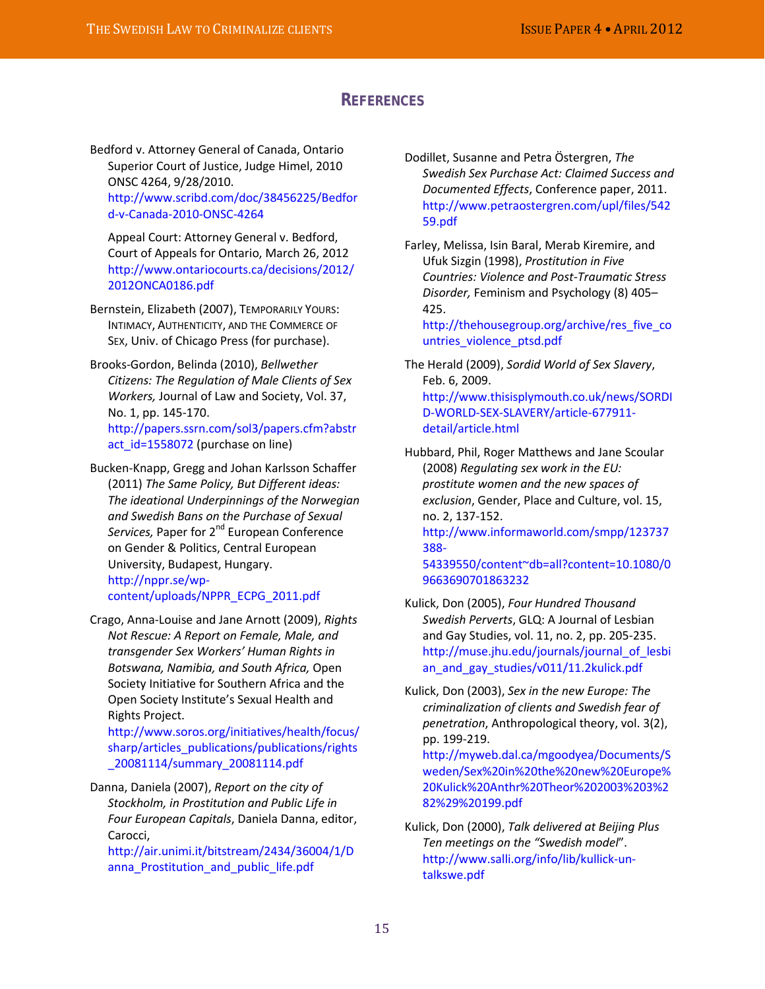## **REFERENCES**

Bedford v. Attorney General of Canada, Ontario Superior Court of Justice, Judge Himel, 2010 ONSC 4264, 9/28/2010. [http://www.scribd.com/doc/38456225/Bedfor](http://www.scribd.com/doc/38456225/Bedford-v-Canada-2010-ONSC-4264) [d-v-Canada-2010-ONSC-4264](http://www.scribd.com/doc/38456225/Bedford-v-Canada-2010-ONSC-4264)

Appeal Court: Attorney General v. Bedford, Court of Appeals for Ontario, March 26, 2012 [http://www.ontariocourts.ca/decisions/2012/](http://www.ontariocourts.ca/decisions/2012/2012ONCA0186.pdf) [2012ONCA0186.pdf](http://www.ontariocourts.ca/decisions/2012/2012ONCA0186.pdf)

Bernstein, Elizabeth (2007), TEMPORARILY YOURS: INTIMACY, AUTHENTICITY, AND THE COMMERCE OF SEX, Univ. of Chicago Press (for purchase).

Brooks-Gordon, Belinda (2010), *Bellwether Citizens: The Regulation of Male Clients of Sex Workers,* Journal of Law and Society, Vol. 37, No. 1, pp. 145-170. [http://papers.ssrn.com/sol3/papers.cfm?abstr](http://papers.ssrn.com/sol3/papers.cfm?abstract_id=1558072) [act\\_id=1558072](http://papers.ssrn.com/sol3/papers.cfm?abstract_id=1558072) (purchase on line)

Bucken-Knapp, Gregg and Johan Karlsson Schaffer (2011) *The Same Policy, But Different ideas: The ideational Underpinnings of the Norwegian and Swedish Bans on the Purchase of Sexual*  Services, Paper for 2<sup>nd</sup> European Conference on Gender & Politics, Central European University, Budapest, Hungary. [http://nppr.se/wp](http://nppr.se/wp-content/uploads/NPPR_ECPG_2011.pdf)[content/uploads/NPPR\\_ECPG\\_2011.pdf](http://nppr.se/wp-content/uploads/NPPR_ECPG_2011.pdf)

Crago, Anna-Louise and Jane Arnott (2009), *Rights Not Rescue: A Report on Female, Male, and transgender Sex Workers' Human Rights in Botswana, Namibia, and South Africa,* Open Society Initiative for Southern Africa and the Open Society Institute's Sexual Health and Rights Project.

[http://www.soros.org/initiatives/health/focus/](http://www.soros.org/initiatives/health/focus/sharp/articles_publications/publications/rights_20081114/summary_20081114.pdf) [sharp/articles\\_publications/publications/rights](http://www.soros.org/initiatives/health/focus/sharp/articles_publications/publications/rights_20081114/summary_20081114.pdf) [\\_20081114/summary\\_20081114.pdf](http://www.soros.org/initiatives/health/focus/sharp/articles_publications/publications/rights_20081114/summary_20081114.pdf)

Danna, Daniela (2007), *Report on the city of Stockholm, in Prostitution and Public Life in Four European Capitals*, Daniela Danna, editor, Carocci,

[http://air.unimi.it/bitstream/2434/36004/1/D](http://air.unimi.it/bitstream/2434/36004/1/Danna_Prostitution_and_public_life.pdf) anna Prostitution and public life.pdf

Dodillet, Susanne and Petra Östergren, *The Swedish Sex Purchase Act: Claimed Success and Documented Effects*, Conference paper, 2011. [http://www.petraostergren.com/upl/files/542](http://www.petraostergren.com/upl/files/54259.pdf) [59.pdf](http://www.petraostergren.com/upl/files/54259.pdf)

Farley, Melissa, Isin Baral, Merab Kiremire, and Ufuk Sizgin (1998), *Prostitution in Five Countries: Violence and Post-Traumatic Stress Disorder,* Feminism and Psychology (8) 405– 425.

[http://thehousegroup.org/archive/res\\_five\\_co](http://thehousegroup.org/archive/res_five_countries_violence_ptsd.pdf) [untries\\_violence\\_ptsd.pdf](http://thehousegroup.org/archive/res_five_countries_violence_ptsd.pdf)

The Herald (2009), *Sordid World of Sex Slavery*, Feb. 6, 2009. [http://www.thisisplymouth.co.uk/news/SORDI](http://www.thisisplymouth.co.uk/news/SORDID-WORLD-SEX-SLAVERY/article-677911-detail/article.html) [D-WORLD-SEX-SLAVERY/article-677911](http://www.thisisplymouth.co.uk/news/SORDID-WORLD-SEX-SLAVERY/article-677911-detail/article.html) [detail/article.html](http://www.thisisplymouth.co.uk/news/SORDID-WORLD-SEX-SLAVERY/article-677911-detail/article.html)

Hubbard, Phil, Roger Matthews and Jane Scoular (2008) *Regulating sex work in the EU: prostitute women and the new spaces of exclusion*, Gender, Place and Culture, vol. 15, no. 2, 137-152. [http://www.informaworld.com/smpp/123737](http://www.informaworld.com/smpp/123737388-54339550/content~db=all?content=10.1080/09663690701863232) [388-](http://www.informaworld.com/smpp/123737388-54339550/content~db=all?content=10.1080/09663690701863232)

[54339550/content~db=all?content=10.1080/0](http://www.informaworld.com/smpp/123737388-54339550/content~db=all?content=10.1080/09663690701863232) [9663690701863232](http://www.informaworld.com/smpp/123737388-54339550/content~db=all?content=10.1080/09663690701863232)

Kulick, Don (2005), *Four Hundred Thousand Swedish Perverts*, GLQ: A Journal of Lesbian and Gay Studies, vol. 11, no. 2, pp. 205-235. [http://muse.jhu.edu/journals/journal\\_of\\_lesbi](http://muse.jhu.edu/journals/journal_of_lesbian_and_gay_studies/v011/11.2kulick.pdf) an and gay studies/v011/11.2kulick.pdf

Kulick, Don (2003), *Sex in the new Europe: The criminalization of clients and Swedish fear of penetration*, Anthropological theory, vol. 3(2), pp. 199-219.

[http://myweb.dal.ca/mgoodyea/Documents/S](http://myweb.dal.ca/mgoodyea/Documents/Sweden/Sex%20in%20the%20new%20Europe%20Kulick%20Anthr%20Theor%202003%203%282%29%20199.pdf) [weden/Sex%20in%20the%20new%20Europe%](http://myweb.dal.ca/mgoodyea/Documents/Sweden/Sex%20in%20the%20new%20Europe%20Kulick%20Anthr%20Theor%202003%203%282%29%20199.pdf) [20Kulick%20Anthr%20Theor%202003%203%2](http://myweb.dal.ca/mgoodyea/Documents/Sweden/Sex%20in%20the%20new%20Europe%20Kulick%20Anthr%20Theor%202003%203%282%29%20199.pdf) [82%29%20199.pdf](http://myweb.dal.ca/mgoodyea/Documents/Sweden/Sex%20in%20the%20new%20Europe%20Kulick%20Anthr%20Theor%202003%203%282%29%20199.pdf)

Kulick, Don (2000), *Talk delivered at Beijing Plus Ten meetings on the "Swedish model*". [http://www.salli.org/info/lib/kullick-un](http://www.salli.org/info/lib/kullick-un-talkswe.pdf)[talkswe.pdf](http://www.salli.org/info/lib/kullick-un-talkswe.pdf)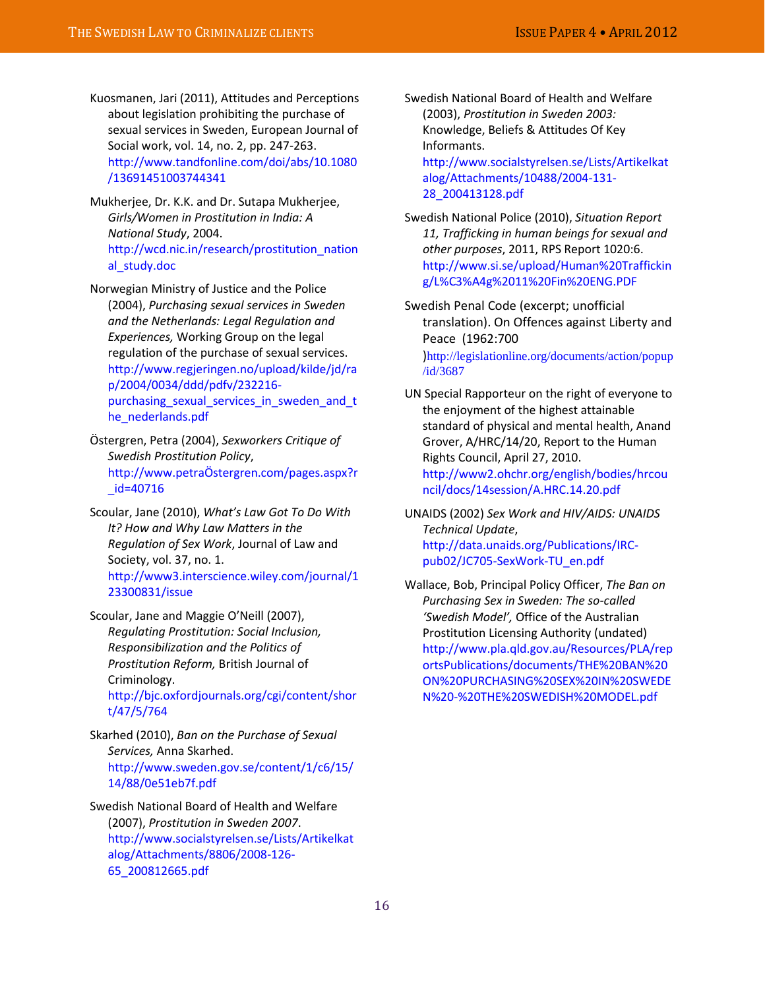Kuosmanen, Jari (2011), Attitudes and Perceptions about legislation prohibiting the purchase of sexual services in Sweden, European Journal of Social work, vol. 14, no. 2, pp. 247-263. [http://www.tandfonline.com/doi/abs/10.1080](http://www.tandfonline.com/doi/abs/10.1080/13691451003744341) [/13691451003744341](http://www.tandfonline.com/doi/abs/10.1080/13691451003744341)

Mukherjee, Dr. K.K. and Dr. Sutapa Mukherjee, *Girls/Women in Prostitution in India: A National Study*, 2004. http://wcd.nic.in/research/prostitution\_nation al\_study.doc

Norwegian Ministry of Justice and the Police (2004), *Purchasing sexual services in Sweden and the Netherlands: Legal Regulation and Experiences,* Working Group on the legal regulation of the purchase of sexual services. [http://www.regjeringen.no/upload/kilde/jd/ra](http://www.regjeringen.no/upload/kilde/jd/rap/2004/0034/ddd/pdfv/232216-purchasing_sexual_services_in_sweden_and_the_nederlands.pdf) [p/2004/0034/ddd/pdfv/232216](http://www.regjeringen.no/upload/kilde/jd/rap/2004/0034/ddd/pdfv/232216-purchasing_sexual_services_in_sweden_and_the_nederlands.pdf) [purchasing\\_sexual\\_services\\_in\\_sweden\\_and\\_t](http://www.regjeringen.no/upload/kilde/jd/rap/2004/0034/ddd/pdfv/232216-purchasing_sexual_services_in_sweden_and_the_nederlands.pdf) [he\\_nederlands.pdf](http://www.regjeringen.no/upload/kilde/jd/rap/2004/0034/ddd/pdfv/232216-purchasing_sexual_services_in_sweden_and_the_nederlands.pdf)

Östergren, Petra (2004), *Sexworkers Critique of Swedish Prostitution Policy*, [http://www.petraÖstergren.com/pages.aspx?r](http://www.petraostergren.com/pages.aspx?r_id=40716) [\\_id=40716](http://www.petraostergren.com/pages.aspx?r_id=40716)

Scoular, Jane (2010), *What's Law Got To Do With It? How and Why Law Matters in the Regulation of Sex Work*, Journal of Law and Society, vol. 37, no. 1. [http://www3.interscience.wiley.com/journal/1](http://www3.interscience.wiley.com/journal/123300831/issue) [23300831/issue](http://www3.interscience.wiley.com/journal/123300831/issue)

Scoular, Jane and Maggie O'Neill (2007), *Regulating Prostitution: Social Inclusion, Responsibilization and the Politics of Prostitution Reform,* British Journal of Criminology. [http://bjc.oxfordjournals.org/cgi/content/shor](http://bjc.oxfordjournals.org/cgi/content/short/47/5/764) [t/47/5/764](http://bjc.oxfordjournals.org/cgi/content/short/47/5/764)

Skarhed (2010), *Ban on the Purchase of Sexual Services,* Anna Skarhed. [http://www.sweden.gov.se/content/1/c6/15/](http://www.sweden.gov.se/content/1/c6/15/14/88/0e51eb7f.pdf) [14/88/0e51eb7f.pdf](http://www.sweden.gov.se/content/1/c6/15/14/88/0e51eb7f.pdf)

Swedish National Board of Health and Welfare (2007), *Prostitution in Sweden 2007*. [http://www.socialstyrelsen.se/Lists/Artikelkat](http://www.socialstyrelsen.se/Lists/Artikelkatalog/Attachments/8806/2008-126-65_200812665.pdf) [alog/Attachments/8806/2008-126-](http://www.socialstyrelsen.se/Lists/Artikelkatalog/Attachments/8806/2008-126-65_200812665.pdf) [65\\_200812665.pdf](http://www.socialstyrelsen.se/Lists/Artikelkatalog/Attachments/8806/2008-126-65_200812665.pdf)

Swedish National Board of Health and Welfare (2003), *Prostitution in Sweden 2003:*  Knowledge, Beliefs & Attitudes Of Key Informants.

[http://www.socialstyrelsen.se/Lists/Artikelkat](http://www.socialstyrelsen.se/Lists/Artikelkatalog/Attachments/10488/2004-131-28_200413128.pdf) [alog/Attachments/10488/2004-131-](http://www.socialstyrelsen.se/Lists/Artikelkatalog/Attachments/10488/2004-131-28_200413128.pdf) [28\\_200413128.pdf](http://www.socialstyrelsen.se/Lists/Artikelkatalog/Attachments/10488/2004-131-28_200413128.pdf)

Swedish National Police (2010), *Situation Report 11, Trafficking in human beings for sexual and other purposes*, 2011, RPS Report 1020:6. [http://www.si.se/upload/Human%20Traffickin](http://www.si.se/upload/Human%20Trafficking/L%C3%A4g%2011%20Fin%20ENG.PDF) [g/L%C3%A4g%2011%20Fin%20ENG.PDF](http://www.si.se/upload/Human%20Trafficking/L%C3%A4g%2011%20Fin%20ENG.PDF)

Swedish Penal Code (excerpt; unofficial translation). On Offences against Liberty and Peace (1962:700 )[http://legislationline.org/documents/action/popup](http://legislationline.org/documents/action/popup/id/3687) [/id/3687](http://legislationline.org/documents/action/popup/id/3687)

UN Special Rapporteur on the right of everyone to the enjoyment of the highest attainable standard of physical and mental health, Anand Grover, A/HRC/14/20, Report to the Human Rights Council, April 27, 2010. [http://www2.ohchr.org/english/bodies/hrcou](http://www2.ohchr.org/english/bodies/hrcouncil/docs/14session/A.HRC.14.20.pdf) [ncil/docs/14session/A.HRC.14.20.pdf](http://www2.ohchr.org/english/bodies/hrcouncil/docs/14session/A.HRC.14.20.pdf)

UNAIDS (2002) *Sex Work and HIV/AIDS: UNAIDS Technical Update*, [http://data.unaids.org/Publications/IRC](http://data.unaids.org/Publications/IRC-pub02/JC705-SexWork-TU_en.pdf)[pub02/JC705-SexWork-TU\\_en.pdf](http://data.unaids.org/Publications/IRC-pub02/JC705-SexWork-TU_en.pdf)

Wallace, Bob, Principal Policy Officer, *The Ban on Purchasing Sex in Sweden: The so-called 'Swedish Model',* Office of the Australian Prostitution Licensing Authority (undated) [http://www.pla.qld.gov.au/Resources/PLA/rep](http://www.pla.qld.gov.au/Resources/PLA/reportsPublications/documents/THE%20BAN%20ON%20PURCHASING%20SEX%20IN%20SWEDEN%20-%20THE%20SWEDISH%20MODEL.pdf) [ortsPublications/documents/THE%20BAN%20](http://www.pla.qld.gov.au/Resources/PLA/reportsPublications/documents/THE%20BAN%20ON%20PURCHASING%20SEX%20IN%20SWEDEN%20-%20THE%20SWEDISH%20MODEL.pdf) [ON%20PURCHASING%20SEX%20IN%20SWEDE](http://www.pla.qld.gov.au/Resources/PLA/reportsPublications/documents/THE%20BAN%20ON%20PURCHASING%20SEX%20IN%20SWEDEN%20-%20THE%20SWEDISH%20MODEL.pdf) [N%20-%20THE%20SWEDISH%20MODEL.pdf](http://www.pla.qld.gov.au/Resources/PLA/reportsPublications/documents/THE%20BAN%20ON%20PURCHASING%20SEX%20IN%20SWEDEN%20-%20THE%20SWEDISH%20MODEL.pdf)